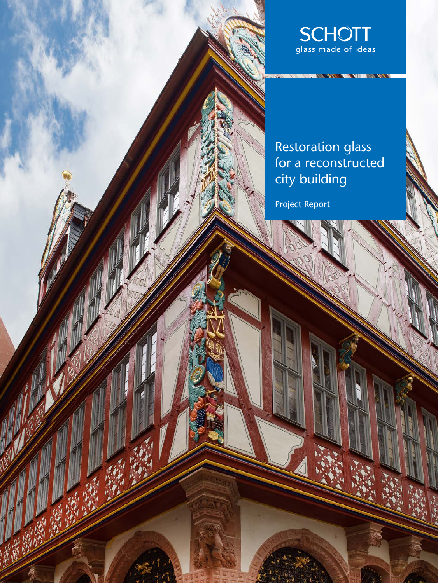

## Restoration glass for a reconstructed city building

Project Report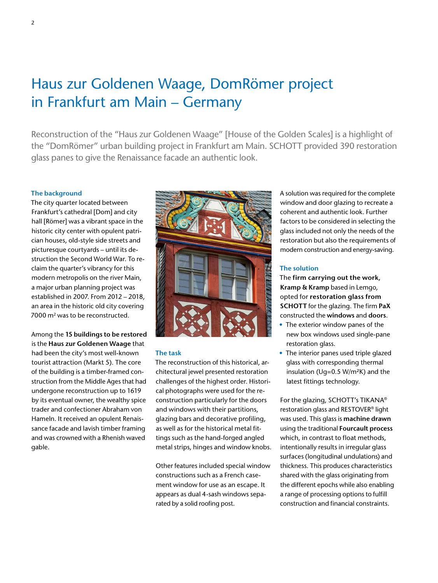# Haus zur Goldenen Waage, DomRömer project in Frankfurt am Main – Germany

Reconstruction of the "Haus zur Goldenen Waage" [House of the Golden Scales] is a highlight of the "DomRömer" urban building project in Frankfurt am Main. SCHOTT provided 390 restoration glass panes to give the Renaissance facade an authentic look.

#### **The background**

The city quarter located between Frankfurt's cathedral [Dom] and city hall [Römer] was a vibrant space in the historic city center with opulent patrician houses, old-style side streets and picturesque courtyards – until its destruction the Second World War. To reclaim the quarter's vibrancy for this modern metropolis on the river Main, a major urban planning project was established in 2007. From 2012 – 2018, an area in the historic old city covering 7000 m<sup>2</sup> was to be reconstructed.

Among the **15 buildings to be restored** is the **Haus zur Goldenen Waage** that had been the city's most well-known tourist attraction (Markt 5). The core of the building is a timber-framed construction from the Middle Ages that had undergone reconstruction up to 1619 by its eventual owner, the wealthy spice trader and confectioner Abraham von Hameln. It received an opulent Renaissance facade and lavish timber framing and was crowned with a Rhenish waved gable.



#### **The task**

The reconstruction of this historical, architectural jewel presented restoration challenges of the highest order. Historical photographs were used for the reconstruction particularly for the doors and windows with their partitions, glazing bars and decorative profiling, as well as for the historical metal fittings such as the hand-forged angled metal strips, hinges and window knobs.

Other features included special window constructions such as a French casement window for use as an escape. It appears as dual 4-sash windows separated by a solid roofing post.

A solution was required for the complete window and door glazing to recreate a coherent and authentic look. Further factors to be considered in selecting the glass included not only the needs of the restoration but also the requirements of modern construction and energy-saving.

#### **The solution**

The **firm carrying out the work, Kramp & Kramp** based in Lemgo, opted for **restoration glass from SCHOTT** for the glazing. The firm **PaX** constructed the **windows** and **doors**.

- The exterior window panes of the new box windows used single-pane restoration glass.
- The interior panes used triple glazed glass with corresponding thermal insulation (Ug=0.5 W/m²K) and the latest fittings technology.

For the glazing, SCHOTT's TIKANA® restoration glass and RESTOVER® light was used. This glass is **machine drawn** using the traditional **Fourcault process** which, in contrast to float methods, intentionally results in irregular glass surfaces (longitudinal undulations) and thickness. This produces characteristics shared with the glass originating from the different epochs while also enabling a range of processing options to fulfill construction and financial constraints.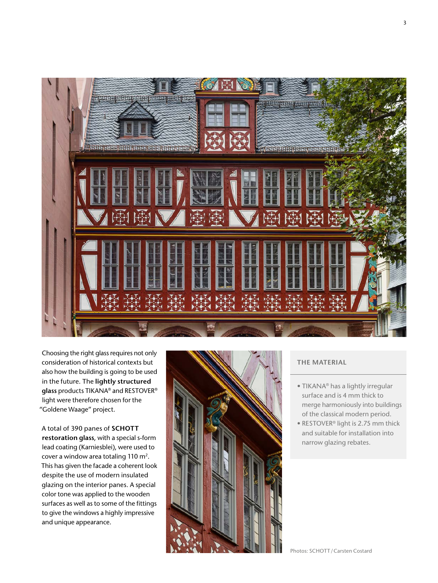

Choosing the right glass requires not only consideration of historical contexts but also how the building is going to be used in the future. The **lightly structured glass** products TIKANA® and RESTOVER® light were therefore chosen for the "Goldene Waage" project.

A total of 390 panes of **SCHOTT restoration glass**, with a special s-form lead coating (Karniesblei), were used to cover a window area totaling 110 m<sup>2</sup>. This has given the facade a coherent look despite the use of modern insulated glazing on the interior panes. A special color tone was applied to the wooden surfaces as well as to some of the fittings to give the windows a highly impressive and unique appearance.



### **THE MATERIAL**

- TIKANA® has a lightly irregular surface and is 4 mm thick to merge harmoniously into buildings of the classical modern period.
- RESTOVER® light is 2.75 mm thick and suitable for installation into narrow glazing rebates.